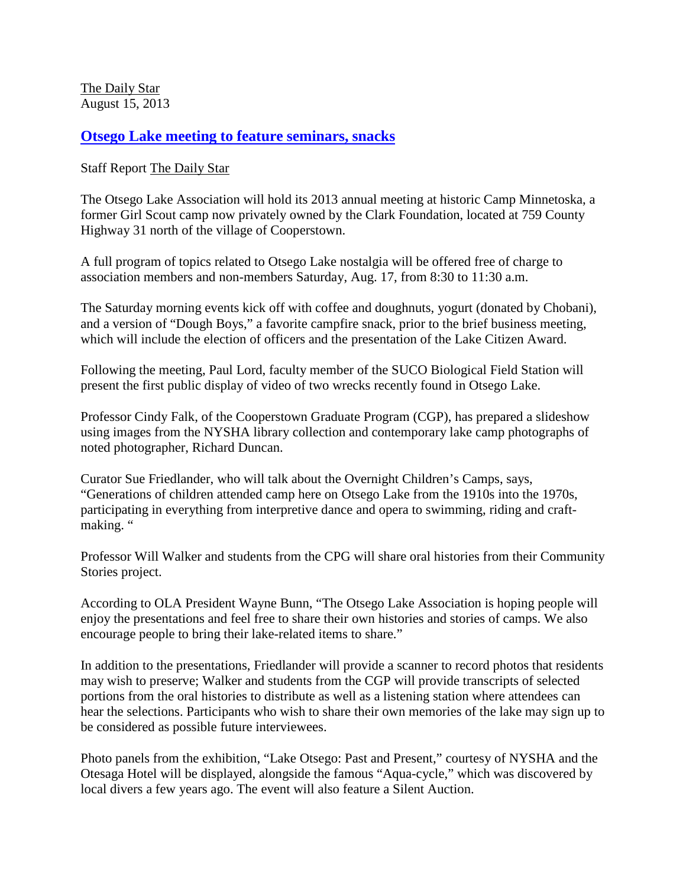[The Daily Star](http://www.thedailystar.com/) August 15, 2013

**[Otsego Lake meeting to feature seminars, snacks](http://www.thedailystar.com/brightside/x1084955755/Otsego-Lake-meeting-to-feature-seminars-snacks)**

Staff Report [The Daily Star](http://www.thedailystar.com/)

The Otsego Lake Association will hold its 2013 annual meeting at historic Camp Minnetoska, a former Girl Scout camp now privately owned by the Clark Foundation, located at 759 County Highway 31 north of the village of Cooperstown.

A full program of topics related to Otsego Lake nostalgia will be offered free of charge to association members and non-members Saturday, Aug. 17, from 8:30 to 11:30 a.m.

The Saturday morning events kick off with coffee and doughnuts, yogurt (donated by Chobani), and a version of "Dough Boys," a favorite campfire snack, prior to the brief business meeting, which will include the election of officers and the presentation of the Lake Citizen Award.

Following the meeting, Paul Lord, faculty member of the SUCO Biological Field Station will present the first public display of video of two wrecks recently found in Otsego Lake.

Professor Cindy Falk, of the Cooperstown Graduate Program (CGP), has prepared a slideshow using images from the NYSHA library collection and contemporary lake camp photographs of noted photographer, Richard Duncan.

Curator Sue Friedlander, who will talk about the Overnight Children's Camps, says, "Generations of children attended camp here on Otsego Lake from the 1910s into the 1970s, participating in everything from interpretive dance and opera to swimming, riding and craftmaking. "

Professor Will Walker and students from the CPG will share oral histories from their Community Stories project.

According to OLA President Wayne Bunn, "The Otsego Lake Association is hoping people will enjoy the presentations and feel free to share their own histories and stories of camps. We also encourage people to bring their lake-related items to share."

In addition to the presentations, Friedlander will provide a scanner to record photos that residents may wish to preserve; Walker and students from the CGP will provide transcripts of selected portions from the oral histories to distribute as well as a listening station where attendees can hear the selections. Participants who wish to share their own memories of the lake may sign up to be considered as possible future interviewees.

Photo panels from the exhibition, "Lake Otsego: Past and Present," courtesy of NYSHA and the Otesaga Hotel will be displayed, alongside the famous "Aqua-cycle," which was discovered by local divers a few years ago. The event will also feature a Silent Auction.